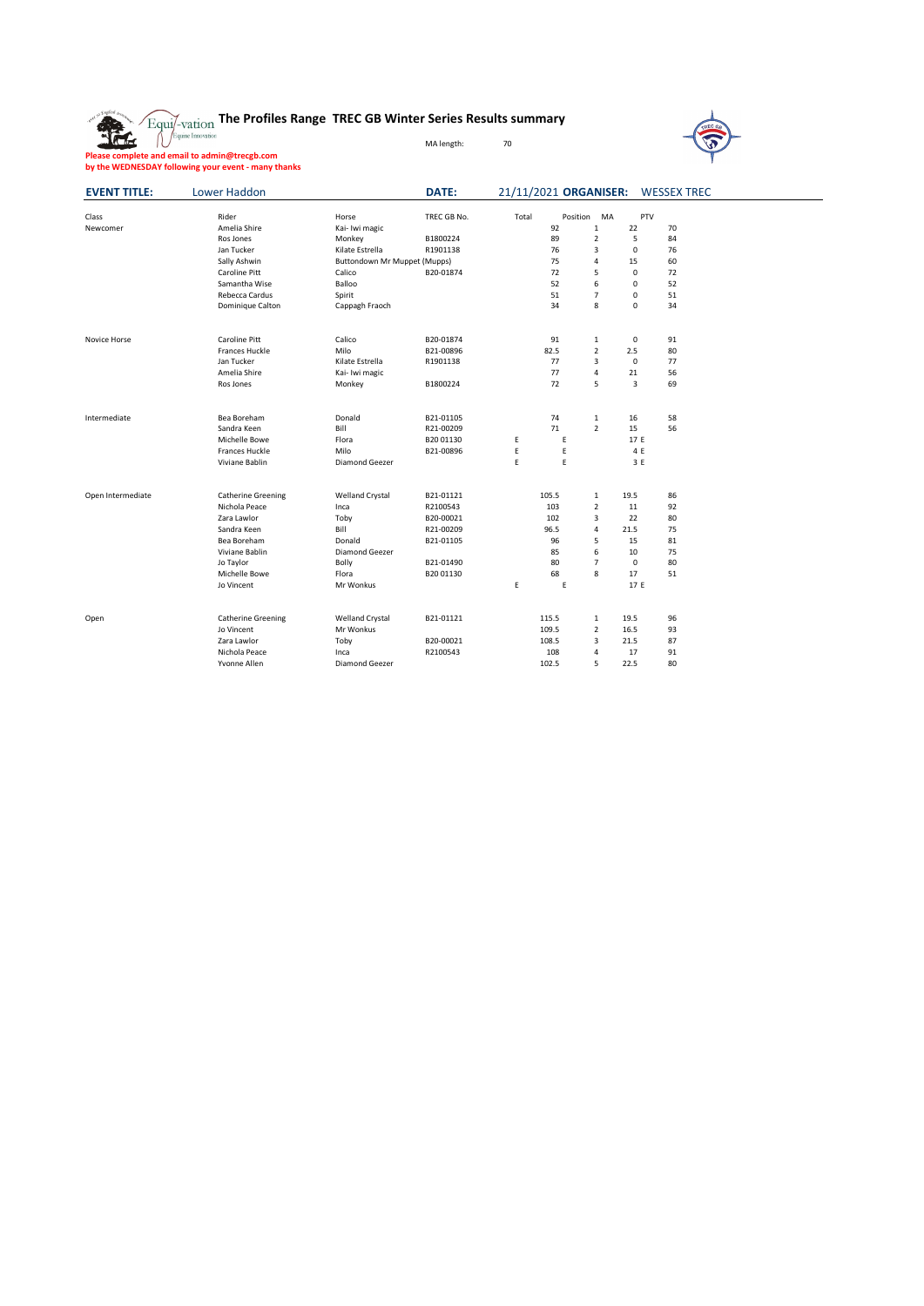



**Please complete and email to admin@trecgb.com by the WEDNESDAY following your event - many thanks**

| <b>EVENT TITLE:</b> | <b>Lower Haddon</b>       |                                     | <b>DATE:</b> |       | 21/11/2021 ORGANISER: |                |              | <b>WESSEX TREC</b> |  |
|---------------------|---------------------------|-------------------------------------|--------------|-------|-----------------------|----------------|--------------|--------------------|--|
| Class               | Rider                     | Horse                               | TREC GB No.  | Total | Position              | MA             | <b>PTV</b>   |                    |  |
| Newcomer            | Amelia Shire              | Kai- Iwi magic                      |              |       | 92                    | $\mathbf{1}$   | 22           | 70                 |  |
|                     | Ros Jones                 | Monkey                              | B1800224     |       | 89                    | $\overline{2}$ | 5            | 84                 |  |
|                     | Jan Tucker                | Kilate Estrella                     | R1901138     |       | 76                    | 3              | 0            | 76                 |  |
|                     | Sally Ashwin              | <b>Buttondown Mr Muppet (Mupps)</b> |              |       | 75                    | 4              | 15           | 60                 |  |
|                     | <b>Caroline Pitt</b>      | Calico                              | B20-01874    |       | 72                    | 5              | 0            | 72                 |  |
|                     | Samantha Wise             | Balloo                              |              |       | 52                    | 6              | 0            | 52                 |  |
|                     | Rebecca Cardus            | Spirit                              |              |       | 51                    | $\overline{7}$ | 0            | 51                 |  |
|                     | Dominique Calton          | Cappagh Fraoch                      |              |       | 34                    | $\bf 8$        | 0            | 34                 |  |
| Novice Horse        | <b>Caroline Pitt</b>      | Calico                              | B20-01874    |       | 91                    | $\mathbf{1}$   | 0            | 91                 |  |
|                     | <b>Frances Huckle</b>     | Milo                                | B21-00896    |       | 82.5                  | $\overline{2}$ | 2.5          | 80                 |  |
|                     | Jan Tucker                | Kilate Estrella                     | R1901138     |       | 77                    | 3              | 0            | 77                 |  |
|                     | Amelia Shire              | Kai- Iwi magic                      |              |       | 77                    | 4              | 21           | 56                 |  |
|                     | Ros Jones                 | Monkey                              | B1800224     |       | 72                    | 5              | $\mathbf{3}$ | 69                 |  |
|                     |                           |                                     |              |       |                       |                |              |                    |  |
| Intermediate        | Bea Boreham               | Donald                              | B21-01105    |       | 74                    | $\mathbf{1}$   | 16           | 58                 |  |
|                     | Sandra Keen               | Bill                                | R21-00209    |       | 71                    | $\overline{2}$ | 15           | 56                 |  |
|                     | Michelle Bowe             | Flora                               | B2001130     | E     | E                     |                | 17 E         |                    |  |
|                     | <b>Frances Huckle</b>     | Milo                                | B21-00896    | E     | E                     |                | 4 E          |                    |  |
|                     | Viviane Bablin            | Diamond Geezer                      |              | E     | E                     |                | 3E           |                    |  |
| Open Intermediate   | <b>Catherine Greening</b> | <b>Welland Crystal</b>              | B21-01121    |       | 105.5                 | $\mathbf{1}$   | 19.5         | 86                 |  |
|                     | Nichola Peace             | Inca                                | R2100543     |       | 103                   | $\overline{2}$ | 11           | 92                 |  |
|                     | Zara Lawlor               | Toby                                | B20-00021    |       | 102                   | 3              | 22           | 80                 |  |
|                     | Sandra Keen               | Bill                                | R21-00209    |       | 96.5                  | $\overline{4}$ | 21.5         | 75                 |  |
|                     | Bea Boreham               | Donald                              | B21-01105    |       | 96                    | 5              | 15           | 81                 |  |
|                     | Viviane Bablin            | Diamond Geezer                      |              |       | 85                    | 6              | 10           | 75                 |  |
|                     | Jo Taylor                 | <b>Bolly</b>                        | B21-01490    |       | 80                    | $\overline{7}$ | 0            | 80                 |  |
|                     | Michelle Bowe             | Flora                               | B2001130     |       | 68                    | 8              | 17           | 51                 |  |
|                     | Jo Vincent                | Mr Wonkus                           |              | E.    | $\mathsf E$           |                | 17 E         |                    |  |
| Open                | <b>Catherine Greening</b> | <b>Welland Crystal</b>              | B21-01121    |       | 115.5                 | $\mathbf{1}$   | 19.5         | 96                 |  |
|                     | Jo Vincent                | Mr Wonkus                           |              |       | 109.5                 | $\overline{2}$ | 16.5         | 93                 |  |
|                     | Zara Lawlor               | Toby                                | B20-00021    |       | 108.5                 | 3              | 21.5         | 87                 |  |
|                     | Nichola Peace             | Inca                                | R2100543     |       | 108                   | 4              | 17           | 91                 |  |
|                     | Yvonne Allen              | Diamond Geezer                      |              |       | 102.5                 | 5              | 22.5         | 80                 |  |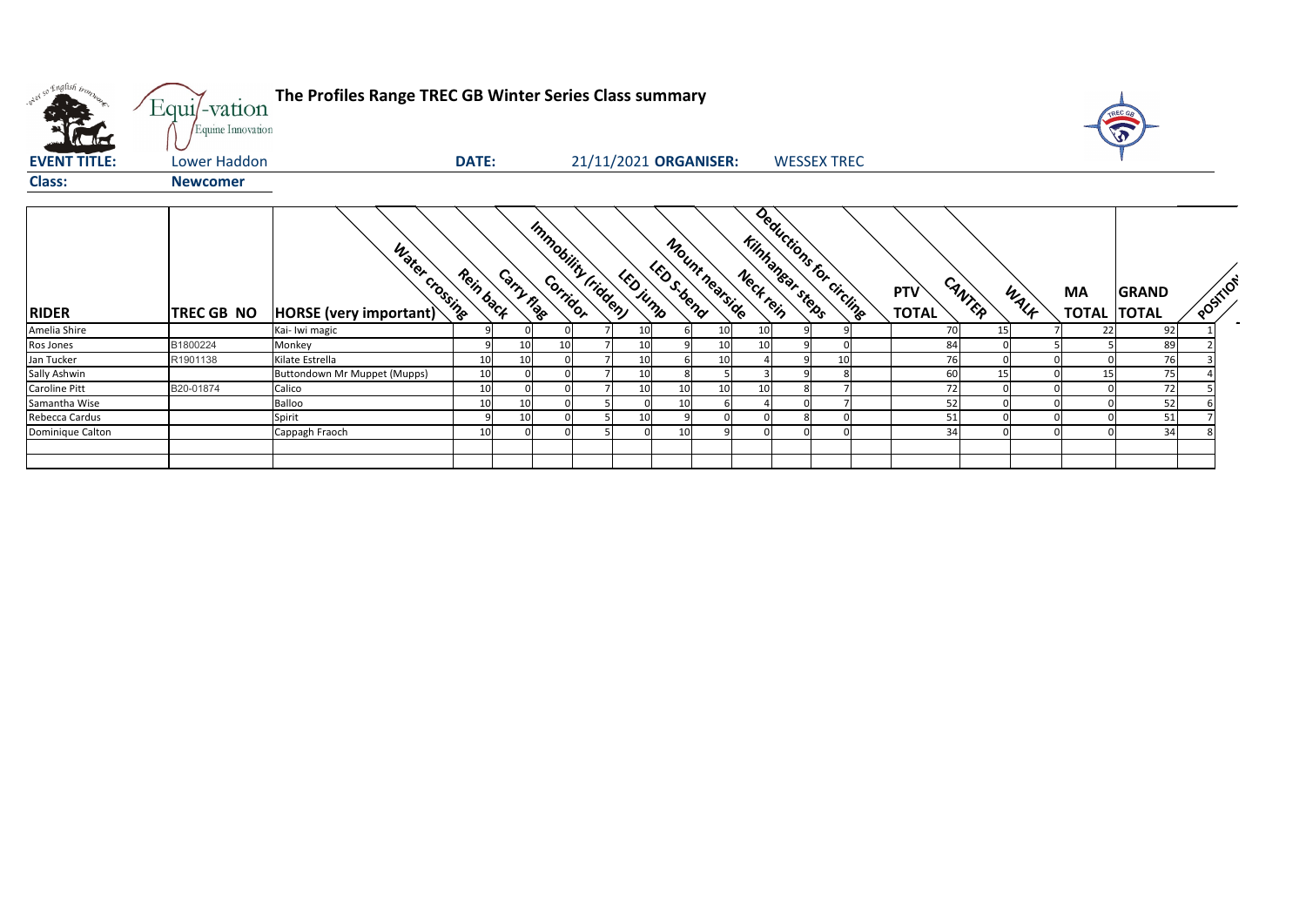| only so English tronn | Equi/-vation<br>Equine Innovation | The Profiles Range TREC GB Winter Series Class summary |              |                                  |                |                       |             |                |           |                                             |                     |        |      |           | REC GA                             |                     |
|-----------------------|-----------------------------------|--------------------------------------------------------|--------------|----------------------------------|----------------|-----------------------|-------------|----------------|-----------|---------------------------------------------|---------------------|--------|------|-----------|------------------------------------|---------------------|
| <b>EVENT TITLE:</b>   | Lower Haddon                      |                                                        | <b>DATE:</b> |                                  |                | 21/11/2021 ORGANISER: |             |                |           | <b>WESSEX TREC</b>                          |                     |        |      |           |                                    |                     |
| <b>Class:</b>         | <b>Newcomer</b>                   |                                                        |              |                                  |                |                       |             |                |           |                                             |                     |        |      |           |                                    |                     |
| <b>RIDER</b>          | <b>TREC GB NO</b>                 | Water crossing<br>HORSE (very important)               | Rein back    | Immobility (ridden)<br>Carry nag |                | LED jump              | LED S. bend | Mount nearsing | Neck rein | Deductions for circling<br>Kinhanear steeps | PTV<br><b>TOTAL</b> | CANTER | WALK | <b>MA</b> | <b>GRAND</b><br><b>TOTAL TOTAL</b> | $\sqrt{\mathsf{c}}$ |
| Amelia Shire          |                                   | Kai- Iwi magic                                         |              |                                  |                | 10                    |             |                | 10        |                                             | 70                  | 15     |      | 22        | 92                                 |                     |
| Ros Jones             | B1800224                          | Monkey                                                 |              | 10                               | 10             | 10                    |             |                |           |                                             | 84                  |        |      |           | 89                                 |                     |
| Jan Tucker            | R1901138                          | Kilate Estrella                                        | 10           | 10                               |                | 10                    |             |                |           | 10                                          | 76                  |        |      |           | 76                                 |                     |
| Sally Ashwin          |                                   | <b>Buttondown Mr Muppet (Mupps)</b>                    | 10           |                                  | $\Omega$       | 10                    |             |                |           |                                             | 60                  | 15     |      |           | 75                                 |                     |
| Caroline Pitt         | B20-01874                         | Calico                                                 | 10           |                                  |                | 10                    | 10          |                | 10        |                                             | 72                  |        |      |           | 72                                 |                     |
| Samantha Wise         |                                   | Balloo                                                 | 10           | 10                               | $\Omega$       |                       | 10          |                |           |                                             | 52                  |        |      |           | 52                                 |                     |
| Rebecca Cardus        |                                   | Spirit                                                 |              | 10                               | $\mathbf 0$    | 10                    |             |                |           |                                             | 51                  |        |      |           | 51                                 |                     |
| Dominique Calton      |                                   | Cappagh Fraoch                                         | 10           |                                  | $\overline{0}$ | $\Omega$              | 10          |                |           |                                             | 34                  |        |      |           | 34                                 |                     |
|                       |                                   |                                                        |              |                                  |                |                       |             |                |           |                                             |                     |        |      |           |                                    |                     |



| <b>PTV</b>   | CANTER |      | <b>MA</b>    | <b>GRAND</b> |   | POSTTO' |
|--------------|--------|------|--------------|--------------|---|---------|
| <b>TOTAL</b> |        | WALA | <b>TOTAL</b> | <b>TOTAL</b> |   |         |
| 70           | 15     | 7    | 22           | 92           | 1 |         |
| 84           | 0      | 5    | 5            | 89           | 2 |         |
| 76           | 0      | 0    | 0            | 76           | 3 |         |
| 60           | 15     | 0    | 15           | 75           | 4 |         |
| 72           | 0      | 0    | 0            | 72           | 5 |         |
| 52           | 0      | 0    | 0            | 52           | 6 |         |
| 51           | 0      | 0    | 0            | 51           | 7 |         |
| 34           | 0      | 0    | 0            | 34           | 8 |         |
|              |        |      |              |              |   |         |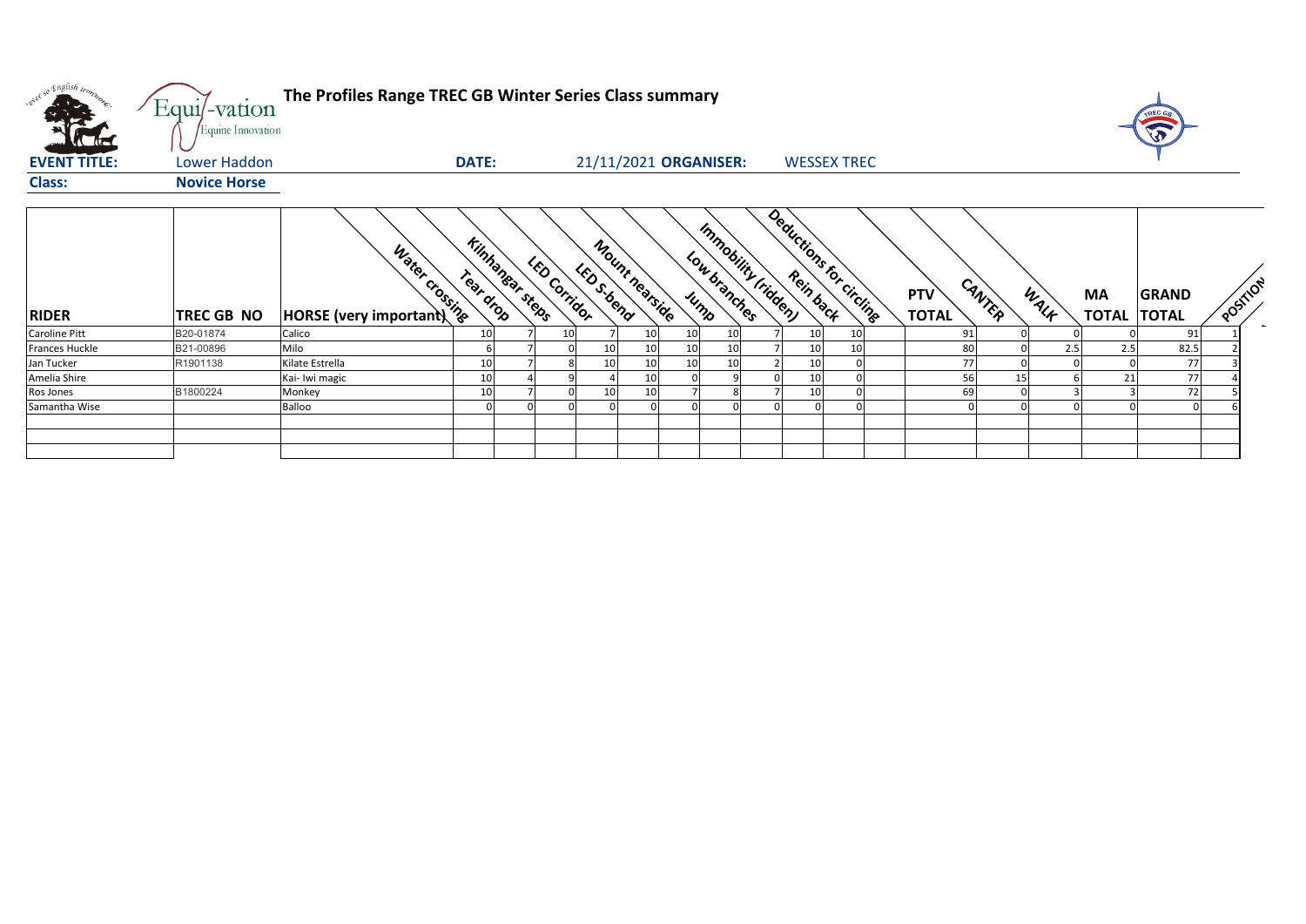

| orel so English trong | Equi/-vation<br>Equine Innovation | The Profiles Range TREC GB Winter Series Class summary |                              |                     |             |                       |    |                                             |                         |    |                            |        |      |                           | TREC GE                      |                            |
|-----------------------|-----------------------------------|--------------------------------------------------------|------------------------------|---------------------|-------------|-----------------------|----|---------------------------------------------|-------------------------|----|----------------------------|--------|------|---------------------------|------------------------------|----------------------------|
| <b>EVENT TITLE:</b>   | <b>Lower Haddon</b>               |                                                        | <b>DATE:</b>                 |                     |             | 21/11/2021 ORGANISER: |    |                                             | <b>WESSEX TREC</b>      |    |                            |        |      |                           |                              |                            |
| <b>Class:</b>         | <b>Novice Horse</b>               |                                                        |                              |                     |             |                       |    |                                             |                         |    |                            |        |      |                           |                              |                            |
| <b>RIDER</b>          | TREC GB NO                        | Water crossing<br>$ HORSE$ (very important)            | Kinhanear steps<br>Teat drop | <b>LED Corridor</b> | LED S. bend | Mount nearside        |    | Immobility (ridden)<br>Low branches<br>Jump | Deductions for circling |    | <b>PTV</b><br><b>TOTAL</b> | CANTER | WALK | <b>MA</b><br><b>TOTAL</b> | <b>GRAND</b><br><b>TOTAL</b> | $\mathcal{S}_{\mathbf{S}}$ |
| <b>Caroline Pitt</b>  | B20-01874                         | Calico                                                 | 10                           | 10                  |             | 10                    | 10 | 10                                          | 10                      | 10 | 91                         |        |      |                           | 91                           |                            |
| <b>Frances Huckle</b> | B21-00896                         | Milo                                                   |                              |                     |             | 10                    | 10 | 10                                          | 10                      | 10 |                            | 80     | 2.5  | 2.5                       | 82.5                         |                            |
| Jan Tucker            | R1901138                          | Kilate Estrella                                        | 10                           |                     | 10          | 10                    | 10 | 10                                          | 10                      |    |                            | 77     |      |                           | 77                           |                            |
| Amelia Shire          |                                   | Kai- Iwi magic                                         | 10                           |                     |             | 10                    |    |                                             | 10                      |    |                            | 56     | 15   | 21                        | 77                           |                            |
| Ros Jones             | B1800224                          | Monkey                                                 | 10                           |                     | 10          | 10                    |    |                                             | 10                      |    |                            | 69     |      |                           | 72                           |                            |
| Samantha Wise         |                                   | <b>Balloo</b>                                          | $\Omega$                     |                     |             |                       |    |                                             |                         |    |                            |        |      |                           |                              |                            |
|                       |                                   |                                                        |                              |                     |             |                       |    |                                             |                         |    |                            |        |      |                           |                              |                            |

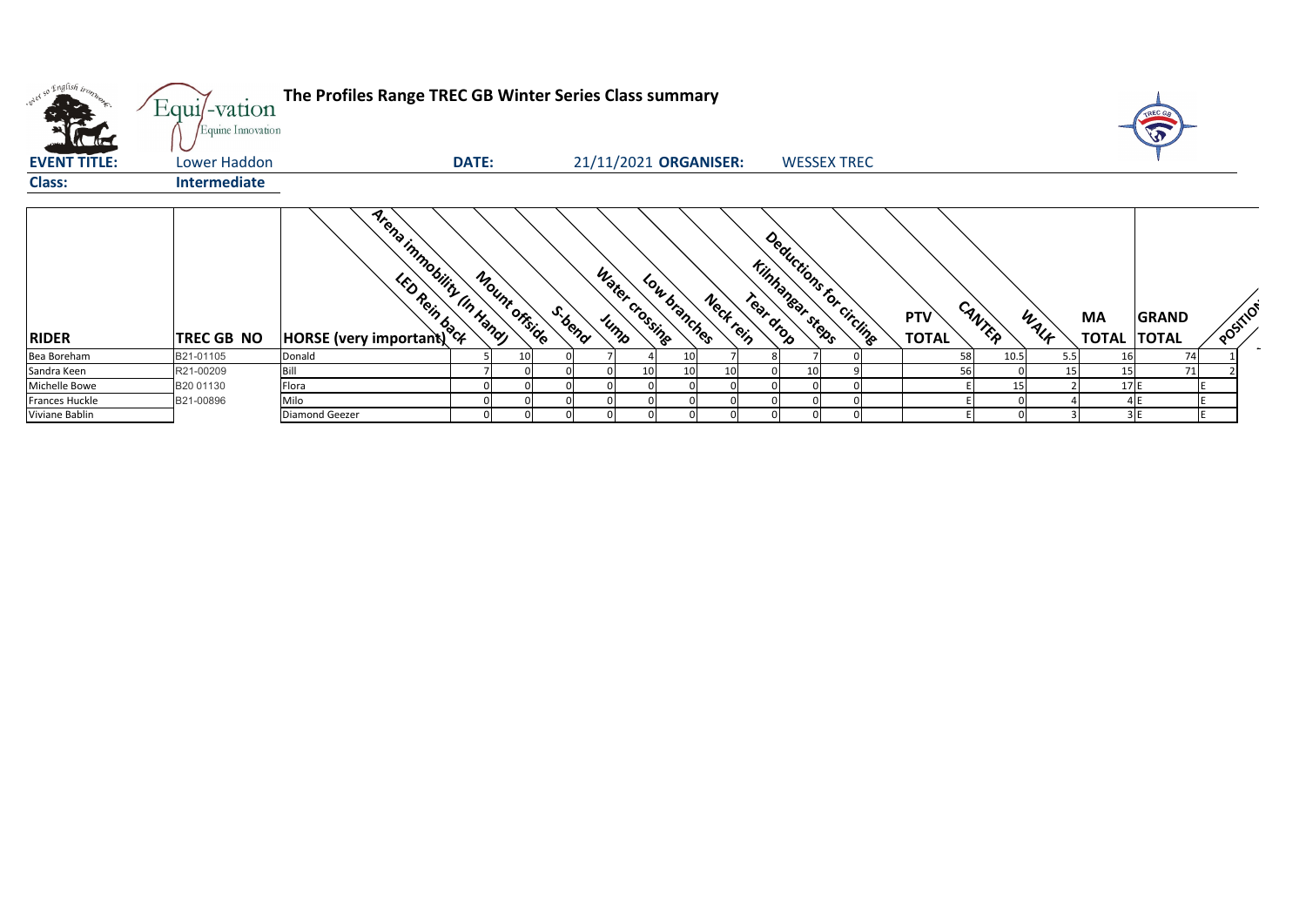| orel so English trong<br><b>EVENT TITLE:</b> | Equi/-vation<br>Equine Innovation<br>Lower Haddon | The Profiles Range TREC GB Winter Series Class summary                                                           | <b>DATE:</b>  |        | 21/11/2021 ORGANISER: |              |           |           | <b>WESSEX TREC</b>                         |  |                            |        |      |           |     | <b>SP</b>                          |                            |
|----------------------------------------------|---------------------------------------------------|------------------------------------------------------------------------------------------------------------------|---------------|--------|-----------------------|--------------|-----------|-----------|--------------------------------------------|--|----------------------------|--------|------|-----------|-----|------------------------------------|----------------------------|
| <b>Class:</b>                                | <b>Intermediate</b>                               |                                                                                                                  |               |        |                       |              |           |           |                                            |  |                            |        |      |           |     |                                    |                            |
|                                              |                                                   |                                                                                                                  |               |        |                       |              |           |           |                                            |  |                            |        |      |           |     |                                    |                            |
| <b>RIDER</b>                                 | TREC GB NO                                        | Arena inmobility IIn Handy<br><b>EXAMILY TO POINTLY TO POINTLY THE SOLUTION OF THE REAL PROPERTY OF PROPERTY</b> | Mount offside | S.bend | Water Crossing        | Low branches | Neck rein | Teat drop | Deductions for circling<br>Kinhanear steps |  | <b>PTV</b><br><b>TOTAL</b> | CANTER | WALK | <b>MA</b> |     | <b>GRAND</b><br><b>TOTAL TOTAL</b> | $\mathcal{S}_{\mathbf{Q}}$ |
| Bea Boreham                                  | B21-01105                                         | Donald                                                                                                           |               |        |                       |              |           |           |                                            |  |                            | 58     | 10.5 | 5.5       |     | 74                                 |                            |
| Sandra Keen                                  | R21-00209                                         | Bill                                                                                                             |               |        | 10                    |              |           |           |                                            |  |                            | 56     |      | 15        | 15  | 71                                 |                            |
| Michelle Bowe                                | B20 01130                                         | Flora                                                                                                            |               |        |                       |              |           |           |                                            |  |                            |        | 15   |           | 17E |                                    |                            |
| Frances Huckle                               | B21-00896                                         | Milo                                                                                                             |               |        |                       |              |           |           |                                            |  |                            |        |      |           |     |                                    |                            |
| Viviane Bablin                               |                                                   | <b>Diamond Geezer</b>                                                                                            |               |        |                       |              |           |           |                                            |  |                            |        |      |           |     |                                    |                            |



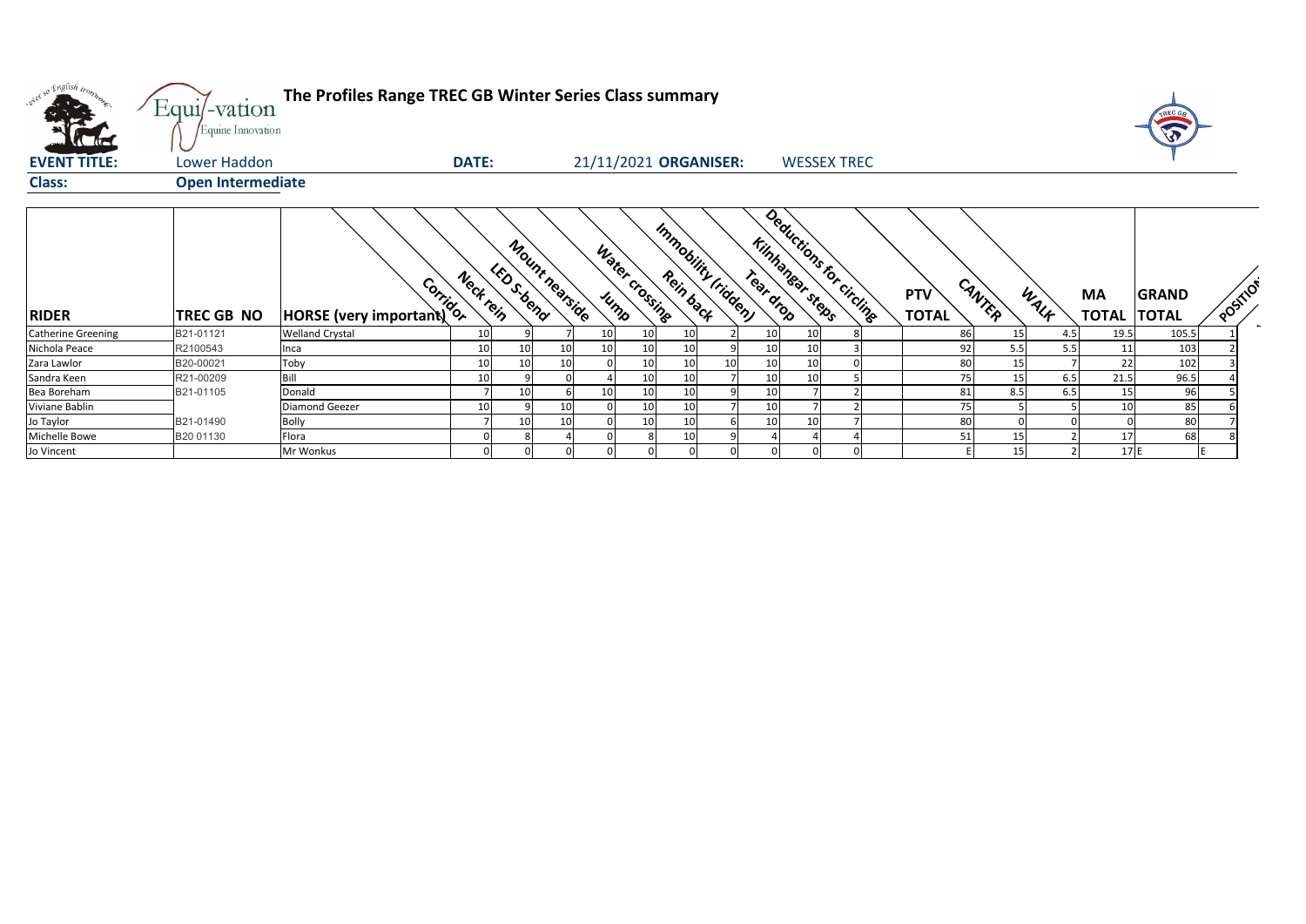

| oner so English tronn     | Equi/-vation<br>Equine Innovation | The Profiles Range TREC GB Winter Series Class summary                                                                                                                                                                         |                 |                 |                |                 |                |                       |    |           |                                             |   |                            |        |     |      |                           |                              |                            |
|---------------------------|-----------------------------------|--------------------------------------------------------------------------------------------------------------------------------------------------------------------------------------------------------------------------------|-----------------|-----------------|----------------|-----------------|----------------|-----------------------|----|-----------|---------------------------------------------|---|----------------------------|--------|-----|------|---------------------------|------------------------------|----------------------------|
| <b>EVENT TITLE:</b>       | Lower Haddon                      |                                                                                                                                                                                                                                | <b>DATE:</b>    |                 |                |                 |                | 21/11/2021 ORGANISER: |    |           | <b>WESSEX TREC</b>                          |   |                            |        |     |      |                           |                              |                            |
| <b>Class:</b>             | <b>Open Intermediate</b>          |                                                                                                                                                                                                                                |                 |                 |                |                 |                |                       |    |           |                                             |   |                            |        |     |      |                           |                              |                            |
| <b>RIDER</b>              | <b>TREC GB NO</b>                 | Both Compare Compare Compare Compare Compare Compare Compare Compare Compare Compare Compare Compare Compare Compare Compare Compare Compare Compare Compare Compare Compare Compare Compare Compare Compare Compare Compare C | Neck rein       | LED S-bend      | Mount nearside |                 | Water crossing | Immobility (ridden)   |    | Tear drop | Deductions for circline<br>Kilnhanear steps |   | <b>PTV</b><br><b>TOTAL</b> | CANTER |     | WALK | <b>MA</b><br><b>TOTAL</b> | <b>GRAND</b><br><b>TOTAL</b> | $\mathcal{S}_{\mathbf{S}}$ |
| <b>Catherine Greening</b> | B21-01121                         | <b>Welland Crystal</b>                                                                                                                                                                                                         | 10              |                 |                | 10              | 10             | 10                    |    | 10        | 10                                          | 8 |                            | 86     | 15  | 4.5  | 19.5                      | 105.5                        |                            |
| Nichola Peace             | R2100543                          | Inca                                                                                                                                                                                                                           | 10              | 10 <sup>1</sup> | 10             | 10 <sup>1</sup> | 10             | 10                    |    | 10        | 10                                          |   |                            | 92     | 5.5 | 5.5  | 11                        | 103                          |                            |
| Zara Lawlor               | B20-00021                         | Toby                                                                                                                                                                                                                           | 10              | 10 <sup>1</sup> | 10             |                 | 10             | 10                    | 10 | 10        | 10                                          |   |                            | 80     | 15  |      | 22                        | 102                          |                            |
| Sandra Keen               | R21-00209                         | Bill                                                                                                                                                                                                                           | 10              |                 |                |                 | $10\,$         | 10                    |    | 10        | 10                                          |   |                            | 75     | 15  | 6.5  | 21.5                      | 96.5                         |                            |
| Bea Boreham               | B21-01105                         | Donald                                                                                                                                                                                                                         |                 | 10              |                | 10 <sup>1</sup> | 10             | 10                    |    | 10        |                                             |   |                            | 81     | 8.5 | 6.5  | 15                        | 96                           |                            |
| Viviane Bablin            |                                   | <b>Diamond Geezer</b>                                                                                                                                                                                                          | 10 <sup>1</sup> |                 | 10             |                 | $10\,$         | 10                    |    | 10        |                                             |   |                            | 75     |     |      | 10                        | 85                           |                            |
| Jo Taylor                 | B21-01490                         | <b>Bolly</b>                                                                                                                                                                                                                   |                 | 10              | 10             |                 | 10             | 10                    |    | 10        | 10                                          |   |                            | 80     |     |      |                           | 80                           |                            |
| Michelle Bowe             | B20 01130                         | Flora                                                                                                                                                                                                                          |                 |                 |                |                 |                | 10                    |    |           |                                             |   |                            | 51     | 15  |      | 17                        | 68                           |                            |
| Jo Vincent                |                                   | Mr Wonkus                                                                                                                                                                                                                      |                 |                 |                |                 |                |                       |    | $\Omega$  |                                             |   |                            |        | 15  |      | 17E                       |                              |                            |

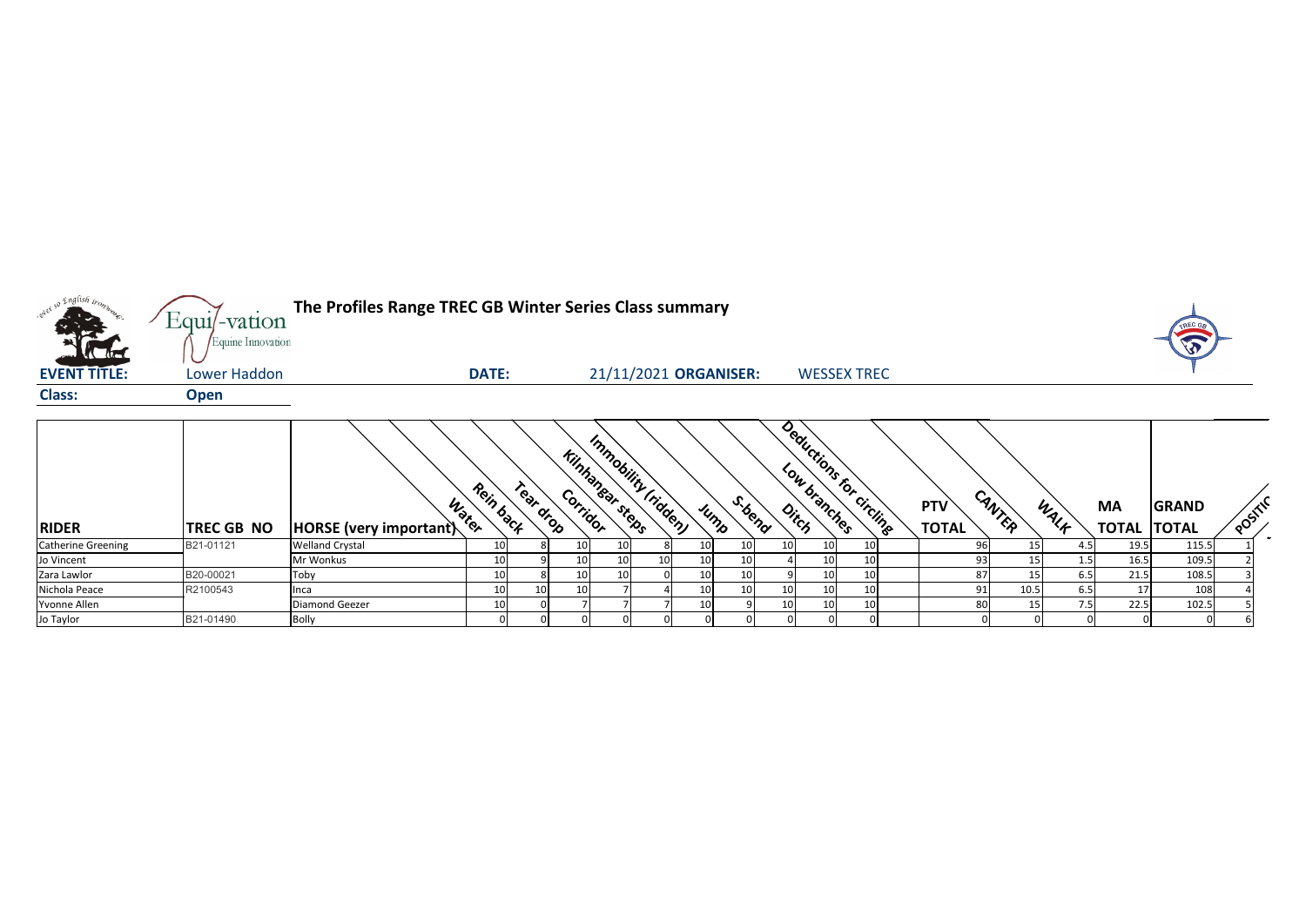

| <b>RIDER</b>              | <b>TREC GB NO</b> | <b>HORSE</b> (very important) | Rein back<br>Water | reat drop       |    | Kilnhangar steps | Immobility (ridden) | $\mathcal{A}_{\mathcal{A}}$<br>Jump | <b>ib<sub>ency</sub></b> |                 | Deductions for circlinge | <b>PTV</b><br><b>TOTAL</b> | CANTEP          | WALF             | <b>MA</b><br><b>TOTAL</b> | <b>GRAND</b><br><b>ITOTAL</b> | <b>POSITI</b> |
|---------------------------|-------------------|-------------------------------|--------------------|-----------------|----|------------------|---------------------|-------------------------------------|--------------------------|-----------------|--------------------------|----------------------------|-----------------|------------------|---------------------------|-------------------------------|---------------|
| <b>Catherine Greening</b> | B21-01121         | <b>Welland Crystal</b>        | 10                 |                 | 10 |                  |                     |                                     | 10                       |                 |                          |                            |                 |                  | 19.5                      | 115.5                         |               |
| Jo Vincent                |                   | Mr Wonkus                     | 10                 |                 | 10 |                  |                     |                                     |                          | 10              |                          |                            |                 |                  | 16.5                      | 109.5                         |               |
| Zara Lawlor               | B20-00021         | Toby                          | 10                 |                 | 10 | ᅭ                |                     |                                     |                          | 10 <sub>1</sub> |                          | 87                         |                 | 6.5              | 21.5                      | 108.5                         |               |
| Nichola Peace             | R2100543          | Inca                          | 10                 | 10 <sup>1</sup> | 10 |                  |                     |                                     | 10<br>⊥∪                 | 10              | 10                       | 91                         | 10.5            | 6.5              |                           | 108                           |               |
| Yvonne Allen              |                   | <b>Diamond Geezer</b>         | 10                 |                 |    |                  |                     |                                     | 10 <sup>1</sup>          | 10 <sub>l</sub> | 10                       | 80                         | 15 <sup>1</sup> | 7.5 <sub>1</sub> | 22.5                      | 102.5                         |               |
| Jo Taylor                 | B21-01490         | <b>Bolly</b>                  |                    |                 |    |                  |                     |                                     |                          |                 |                          |                            |                 |                  |                           |                               |               |

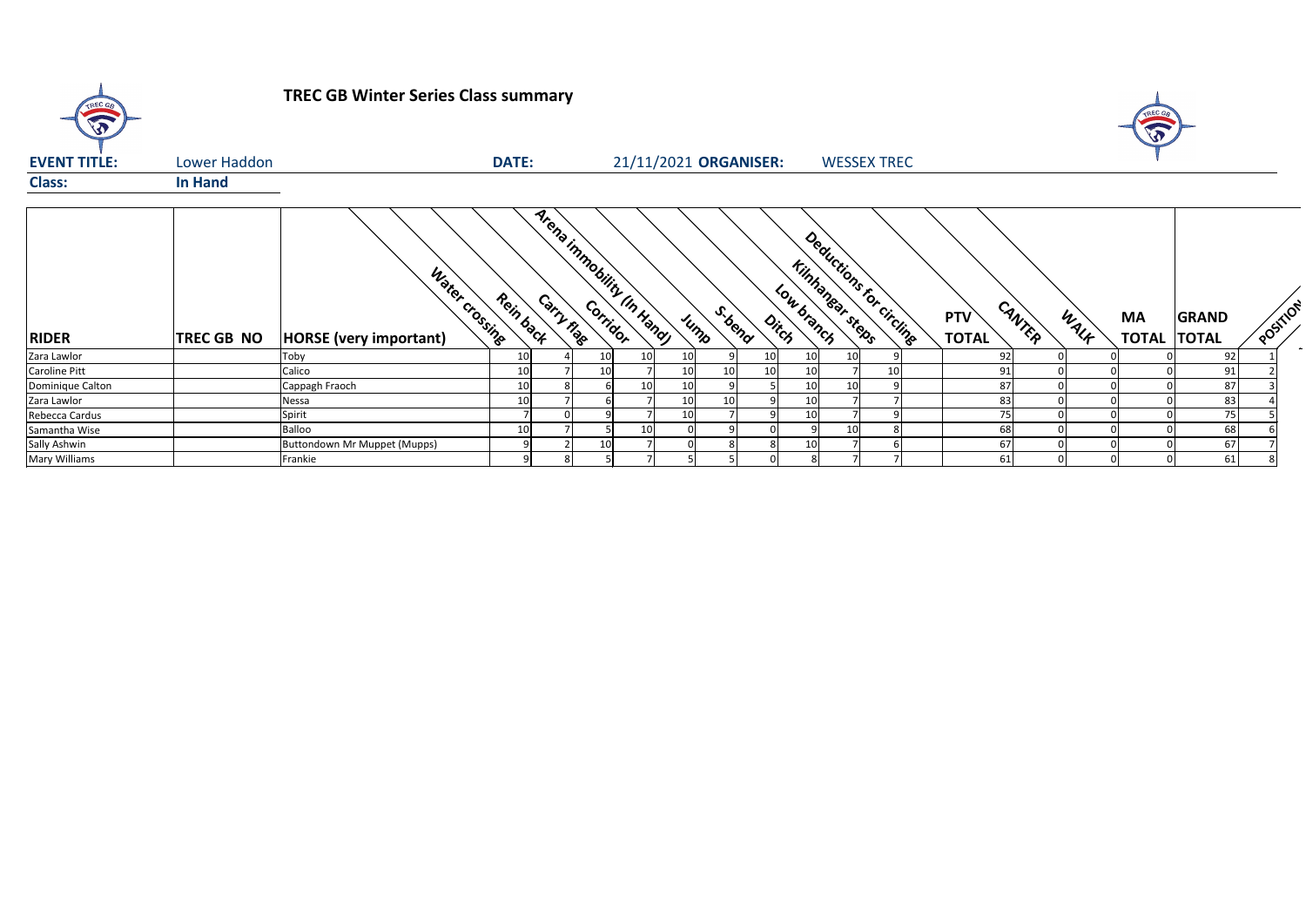

## **TREC GB Winter Series Class summary**



| <b>EVENT TITLE:</b>  | Lower Haddon      |                                                 | <b>DATE:</b> |            |                            |    |                 |      | 21/11/2021 ORGANISER:              |                               | <b>WESSEX TREC</b>      |                            |        |      |                                 |              |    |
|----------------------|-------------------|-------------------------------------------------|--------------|------------|----------------------------|----|-----------------|------|------------------------------------|-------------------------------|-------------------------|----------------------------|--------|------|---------------------------------|--------------|----|
| <b>Class:</b>        | <b>In Hand</b>    |                                                 |              |            |                            |    |                 |      |                                    |                               |                         |                            |        |      |                                 |              |    |
| <b>RIDER</b>         | <b>TREC GB NO</b> | Water Crossing<br><b>HORSE</b> (very important) | Rein back    | Carry nage | Arena inmobility (In Handy |    |                 | JUMP | S.bend<br>$\phi_{\dot{r}_{\rm C}}$ | Kinhanear steps<br>Low branch | Deductions for circling | <b>PTV</b><br><b>TOTAL</b> | CANTER | WALK | <b>MA</b><br><b>TOTAL TOTAL</b> | <b>GRAND</b> | ັດ |
| Zara Lawlor          |                   | Toby                                            |              |            | 10I                        |    | 10 <sub>l</sub> |      | 10                                 |                               |                         | 92                         |        |      |                                 | 92           |    |
| Caroline Pitt        |                   | Calico                                          |              |            | 10 <sup>1</sup>            |    | 10              | 10   | 10                                 | 10                            | 10                      | 91                         |        |      |                                 | 91           |    |
| Dominique Calton     |                   | Cappagh Fraoch                                  |              |            |                            | 10 | 10              |      |                                    | 10                            |                         | 87                         |        |      |                                 | 87           |    |
| Zara Lawlor          |                   | Nessa                                           |              |            |                            |    | 10              | 10   |                                    | 10                            |                         | 83                         |        |      |                                 | 83           |    |
| Rebecca Cardus       |                   | Spirit                                          |              |            |                            |    | 10              |      |                                    | 10                            | 9                       | 75                         |        |      |                                 | 75           |    |
| Samantha Wise        |                   | Balloo                                          |              |            |                            | 10 |                 |      |                                    |                               | 8                       | 68                         |        |      |                                 | 68           |    |
| Sally Ashwin         |                   | Buttondown Mr Muppet (Mupps)                    |              |            | 10 <sup>1</sup>            |    |                 |      |                                    | 10                            | 6                       | 67                         |        |      |                                 | 67           |    |
| <b>Mary Williams</b> |                   | Frankie                                         |              | 81         |                            |    |                 |      |                                    | 8                             |                         | 61                         |        |      |                                 | 61           |    |